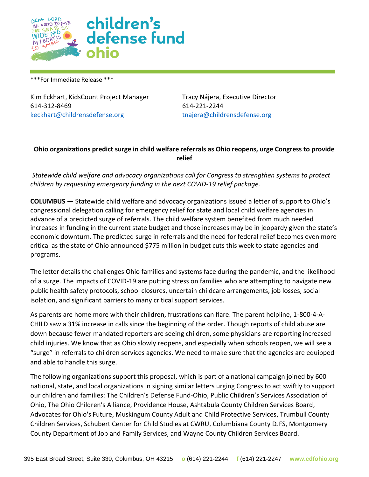

\*\*\*For Immediate Release \*\*\*

Kim Eckhart, KidsCount Project Manager Tracy Nájera, Executive Director 614-312-8469 614-221-2244 [keckhart@childrensdefense.org](mailto:keckhart@childrensdefense.org) [tnajera@childrensdefense.org](mailto:tnajera@childrensdefense.org)

## **Ohio organizations predict surge in child welfare referrals as Ohio reopens, urge Congress to provide relief**

*Statewide child welfare and advocacy organizations call for Congress to strengthen systems to protect children by requesting emergency funding in the next COVID-19 relief package.* 

**COLUMBUS** — Statewide child welfare and advocacy organizations issued a letter of support to Ohio's congressional delegation calling for emergency relief for state and local child welfare agencies in advance of a predicted surge of referrals. The child welfare system benefited from much needed increases in funding in the current state budget and those increases may be in jeopardy given the state's economic downturn. The predicted surge in referrals and the need for federal relief becomes even more critical as the state of Ohio announced \$775 million in budget cuts this week to state agencies and programs.

The letter details the challenges Ohio families and systems face during the pandemic, and the likelihood of a surge. The impacts of COVID-19 are putting stress on families who are attempting to navigate new public health safety protocols, school closures, uncertain childcare arrangements, job losses, social isolation, and significant barriers to many critical support services.

As parents are home more with their children, frustrations can flare. The parent helpline, 1-800-4-A-CHILD saw a 31% increase in calls since the beginning of the order. Though reports of child abuse are down because fewer mandated reporters are seeing children, some physicians are reporting increased child injuries. We know that as Ohio slowly reopens, and especially when schools reopen, we will see a "surge" in referrals to children services agencies. We need to make sure that the agencies are equipped and able to handle this surge.

The following organizations support this proposal, which is part of a national campaign joined by 600 national, state, and local organizations in signing similar letters urging Congress to act swiftly to support our children and families: The Children's Defense Fund-Ohio, Public Children's Services Association of Ohio, The Ohio Children's Alliance, Providence House, Ashtabula County Children Services Board, Advocates for Ohio's Future, Muskingum County Adult and Child Protective Services, Trumbull County Children Services, Schubert Center for Child Studies at CWRU, Columbiana County DJFS, Montgomery County Department of Job and Family Services, and Wayne County Children Services Board.